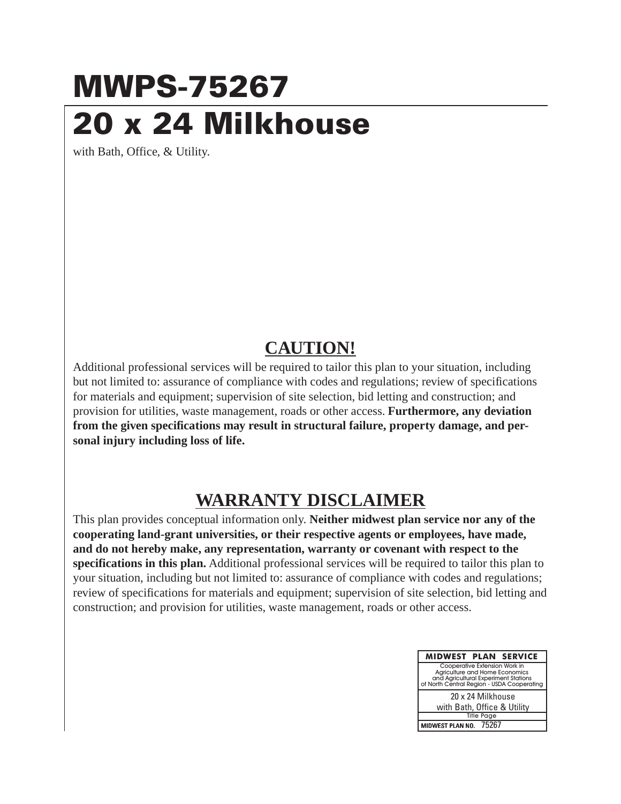## **MWPS-75267 20 x 24 Milkhouse**

with Bath, Office, & Utility.

## **CAUTION!**

Additional professional services will be required to tailor this plan to your situation, including but not limited to: assurance of compliance with codes and regulations; review of specifications for materials and equipment; supervision of site selection, bid letting and construction; and provision for utilities, waste management, roads or other access. **Furthermore, any deviation from the given specifications may result in structural failure, property damage, and personal injury including loss of life.**

## **WARRANTY DISCLAIMER**

This plan provides conceptual information only. **Neither midwest plan service nor any of the cooperating land-grant universities, or their respective agents or employees, have made, and do not hereby make, any representation, warranty or covenant with respect to the specifications in this plan.** Additional professional services will be required to tailor this plan to your situation, including but not limited to: assurance of compliance with codes and regulations; review of specifications for materials and equipment; supervision of site selection, bid letting and construction; and provision for utilities, waste management, roads or other access.

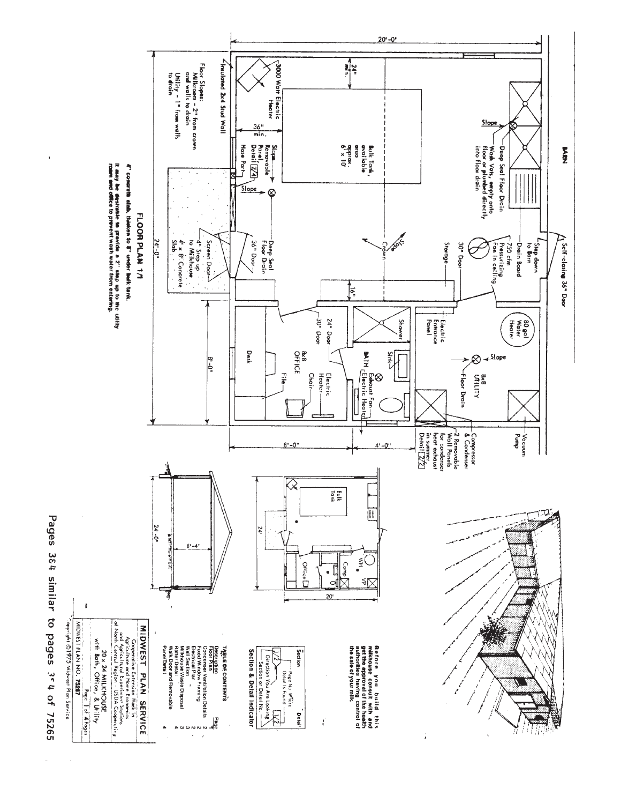

Pages 364 similar to pages 3e4 of 75265

 $\ddot{\phantom{0}}$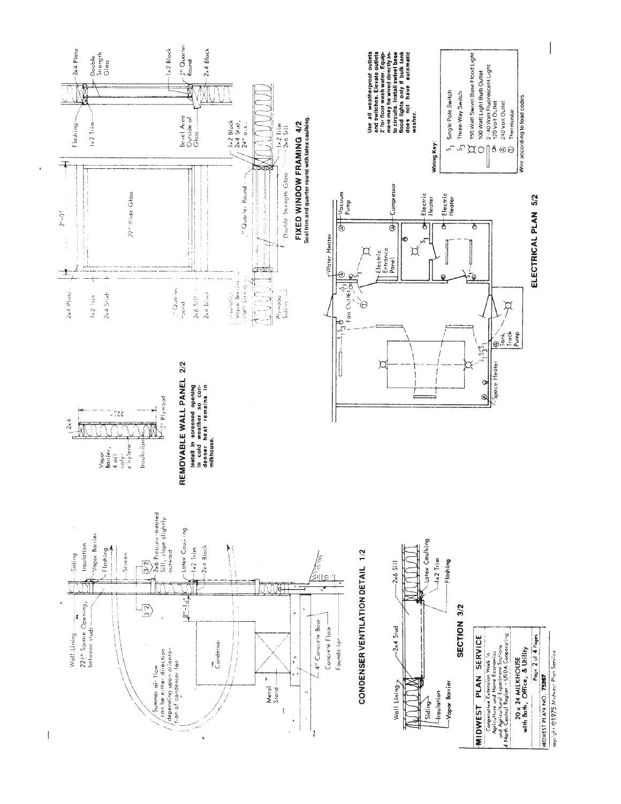

xayright @1975 Midwest Plan Service

 $\mathbf{I}$ 

ï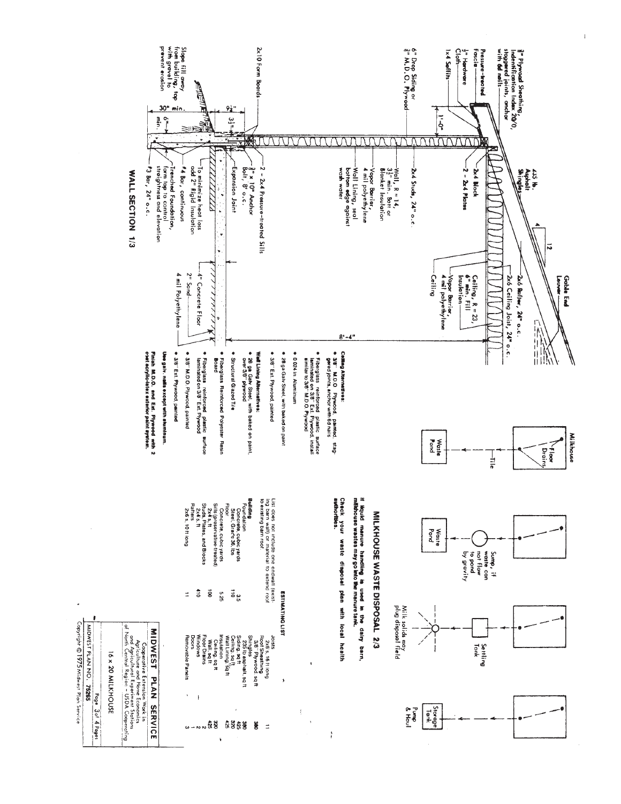

Copyright © 1975 Midwest Plan Service